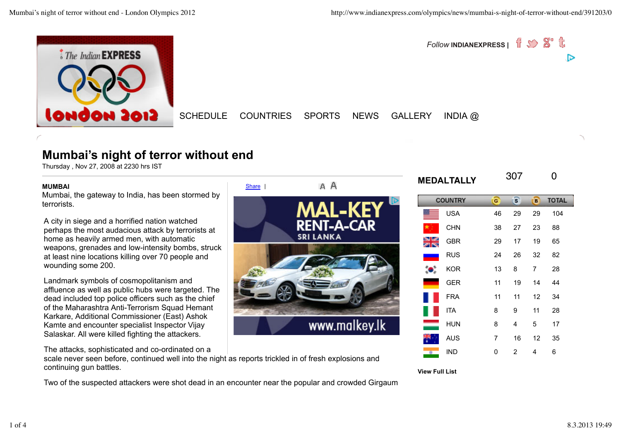

*Follow* INDIANEXPRESS | 1 5 8 t ▷

SCHEDULE COUNTRIES SPORTS NEWS GALLERY INDIA @

# **Mumbai's night of terror without end**

Thursday , Nov 27, 2008 at 2230 hrs IST

#### **MUMBAI**

Mumbai, the gateway to India, has been stormed by terrorists.

A city in siege and a horrified nation watched perhaps the most audacious attack by terrorists at home as heavily armed men, with automatic weapons, grenades and low-intensity bombs, struck at least nine locations killing over 70 people and wounding some 200.

Landmark symbols of cosmopolitanism and affluence as well as public hubs were targeted. The dead included top police officers such as the chief of the Maharashtra Anti-Terrorism Squad Hemant Karkare, Additional Commissioner (East) Ashok Kamte and encounter specialist Inspector Vijay Salaskar. All were killed fighting the attackers.

The attacks, sophisticated and co-ordinated on a

scale never seen before, continued well into the night as reports trickled in of fresh explosions and continuing gun battles.

Two of the suspected attackers were shot dead in an encounter near the popular and crowded Girgaum



IND 0 2 4 6

**View Full List**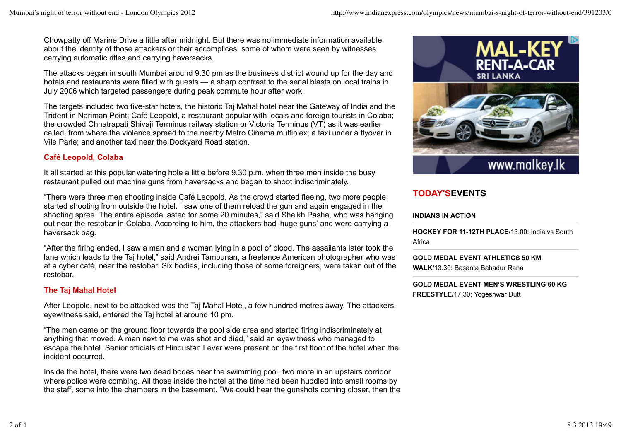Chowpatty off Marine Drive a little after midnight. But there was no immediate information available about the identity of those attackers or their accomplices, some of whom were seen by witnesses carrying automatic rifles and carrying haversacks.

The attacks began in south Mumbai around 9.30 pm as the business district wound up for the day and hotels and restaurants were filled with quests — a sharp contrast to the serial blasts on local trains in July 2006 which targeted passengers during peak commute hour after work.

The targets included two five-star hotels, the historic Taj Mahal hotel near the Gateway of India and the Trident in Nariman Point; Café Leopold, a restaurant popular with locals and foreign tourists in Colaba; the crowded Chhatrapati Shivaji Terminus railway station or Victoria Terminus (VT) as it was earlier called, from where the violence spread to the nearby Metro Cinema multiplex; a taxi under a flyover in Vile Parle; and another taxi near the Dockyard Road station.

### **Café Leopold, Colaba**

It all started at this popular watering hole a little before 9.30 p.m. when three men inside the busy restaurant pulled out machine guns from haversacks and began to shoot indiscriminately.

"There were three men shooting inside Café Leopold. As the crowd started fleeing, two more people started shooting from outside the hotel. I saw one of them reload the gun and again engaged in the shooting spree. The entire episode lasted for some 20 minutes," said Sheikh Pasha, who was hanging out near the restobar in Colaba. According to him, the attackers had 'huge guns' and were carrying a haversack bag.

"After the firing ended, I saw a man and a woman lying in a pool of blood. The assailants later took the lane which leads to the Taj hotel," said Andrei Tambunan, a freelance American photographer who was at a cyber café, near the restobar. Six bodies, including those of some foreigners, were taken out of the restobar.

# **The Taj Mahal Hotel**

After Leopold, next to be attacked was the Taj Mahal Hotel, a few hundred metres away. The attackers, eyewitness said, entered the Taj hotel at around 10 pm.

"The men came on the ground floor towards the pool side area and started firing indiscriminately at anything that moved. A man next to me was shot and died," said an eyewitness who managed to escape the hotel. Senior officials of Hindustan Lever were present on the first floor of the hotel when the incident occurred.

Inside the hotel, there were two dead bodes near the swimming pool, two more in an upstairs corridor where police were combing. All those inside the hotel at the time had been huddled into small rooms by the staff, some into the chambers in the basement. "We could hear the gunshots coming closer, then the



# **TODAY'SEVENTS**

### **INDIANS IN ACTION**

**HOCKEY FOR 11-12TH PLACE**/13.00: India vs South Africa

**GOLD MEDAL EVENT ATHLETICS 50 KM WALK**/13.30: Basanta Bahadur Rana

**GOLD MEDAL EVENT MEN'S WRESTLING 60 KG FREESTYLE**/17.30: Yogeshwar Dutt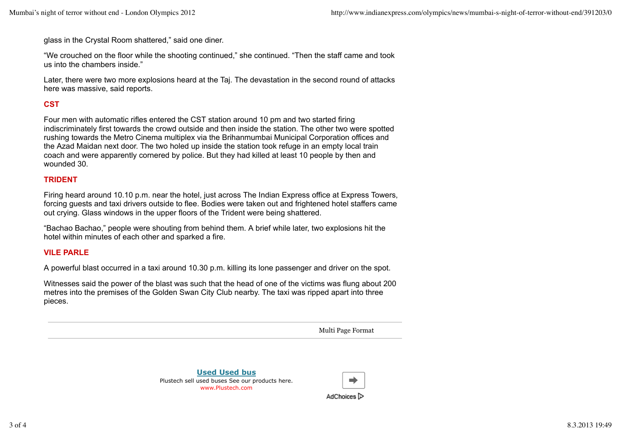glass in the Crystal Room shattered," said one diner.

"We crouched on the floor while the shooting continued," she continued. "Then the staff came and took us into the chambers inside."

Later, there were two more explosions heard at the Taj. The devastation in the second round of attacks here was massive, said reports.

## **CST**

Four men with automatic rifles entered the CST station around 10 pm and two started firing indiscriminately first towards the crowd outside and then inside the station. The other two were spotted rushing towards the Metro Cinema multiplex via the Brihanmumbai Municipal Corporation offices and the Azad Maidan next door. The two holed up inside the station took refuge in an empty local train coach and were apparently cornered by police. But they had killed at least 10 people by then and wounded 30.

### **TRIDENT**

Firing heard around 10.10 p.m. near the hotel, just across The Indian Express office at Express Towers, forcing guests and taxi drivers outside to flee. Bodies were taken out and frightened hotel staffers came out crying. Glass windows in the upper floors of the Trident were being shattered.

"Bachao Bachao," people were shouting from behind them. A brief while later, two explosions hit the hotel within minutes of each other and sparked a fire.

### **VILE PARLE**

A powerful blast occurred in a taxi around 10.30 p.m. killing its lone passenger and driver on the spot.

Witnesses said the power of the blast was such that the head of one of the victims was flung about 200 metres into the premises of the Golden Swan City Club nearby. The taxi was ripped apart into three pieces.

Multi Page Format

**Used Used bus** Plustech sell used buses See our products here. www.Plustech.com



AdChoices D